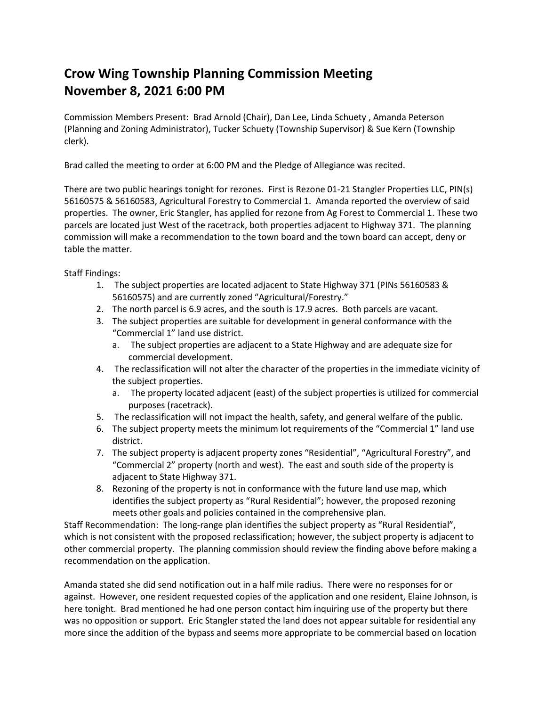## **Crow Wing Township Planning Commission Meeting November 8, 2021 6:00 PM**

Commission Members Present: Brad Arnold (Chair), Dan Lee, Linda Schuety , Amanda Peterson (Planning and Zoning Administrator), Tucker Schuety (Township Supervisor) & Sue Kern (Township clerk).

Brad called the meeting to order at 6:00 PM and the Pledge of Allegiance was recited.

There are two public hearings tonight for rezones. First is Rezone 01-21 Stangler Properties LLC, PIN(s) 56160575 & 56160583, Agricultural Forestry to Commercial 1. Amanda reported the overview of said properties. The owner, Eric Stangler, has applied for rezone from Ag Forest to Commercial 1. These two parcels are located just West of the racetrack, both properties adjacent to Highway 371. The planning commission will make a recommendation to the town board and the town board can accept, deny or table the matter.

Staff Findings:

- 1. The subject properties are located adjacent to State Highway 371 (PINs 56160583 & 56160575) and are currently zoned "Agricultural/Forestry."
- 2. The north parcel is 6.9 acres, and the south is 17.9 acres. Both parcels are vacant.
- 3. The subject properties are suitable for development in general conformance with the "Commercial 1" land use district.
	- a. The subject properties are adjacent to a State Highway and are adequate size for commercial development.
- 4. The reclassification will not alter the character of the properties in the immediate vicinity of the subject properties.
	- a. The property located adjacent (east) of the subject properties is utilized for commercial purposes (racetrack).
- 5. The reclassification will not impact the health, safety, and general welfare of the public.
- 6. The subject property meets the minimum lot requirements of the "Commercial 1" land use district.
- 7. The subject property is adjacent property zones "Residential", "Agricultural Forestry", and "Commercial 2" property (north and west). The east and south side of the property is adjacent to State Highway 371.
- 8. Rezoning of the property is not in conformance with the future land use map, which identifies the subject property as "Rural Residential"; however, the proposed rezoning meets other goals and policies contained in the comprehensive plan.

Staff Recommendation: The long-range plan identifies the subject property as "Rural Residential", which is not consistent with the proposed reclassification; however, the subject property is adjacent to other commercial property. The planning commission should review the finding above before making a recommendation on the application.

Amanda stated she did send notification out in a half mile radius. There were no responses for or against. However, one resident requested copies of the application and one resident, Elaine Johnson, is here tonight. Brad mentioned he had one person contact him inquiring use of the property but there was no opposition or support. Eric Stangler stated the land does not appear suitable for residential any more since the addition of the bypass and seems more appropriate to be commercial based on location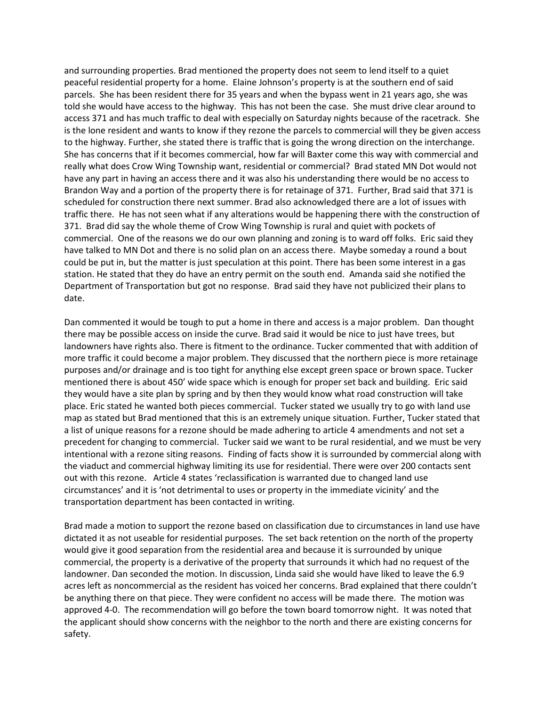and surrounding properties. Brad mentioned the property does not seem to lend itself to a quiet peaceful residential property for a home. Elaine Johnson's property is at the southern end of said parcels. She has been resident there for 35 years and when the bypass went in 21 years ago, she was told she would have access to the highway. This has not been the case. She must drive clear around to access 371 and has much traffic to deal with especially on Saturday nights because of the racetrack. She is the lone resident and wants to know if they rezone the parcels to commercial will they be given access to the highway. Further, she stated there is traffic that is going the wrong direction on the interchange. She has concerns that if it becomes commercial, how far will Baxter come this way with commercial and really what does Crow Wing Township want, residential or commercial? Brad stated MN Dot would not have any part in having an access there and it was also his understanding there would be no access to Brandon Way and a portion of the property there is for retainage of 371. Further, Brad said that 371 is scheduled for construction there next summer. Brad also acknowledged there are a lot of issues with traffic there. He has not seen what if any alterations would be happening there with the construction of 371. Brad did say the whole theme of Crow Wing Township is rural and quiet with pockets of commercial. One of the reasons we do our own planning and zoning is to ward off folks. Eric said they have talked to MN Dot and there is no solid plan on an access there. Maybe someday a round a bout could be put in, but the matter is just speculation at this point. There has been some interest in a gas station. He stated that they do have an entry permit on the south end. Amanda said she notified the Department of Transportation but got no response. Brad said they have not publicized their plans to date.

Dan commented it would be tough to put a home in there and access is a major problem. Dan thought there may be possible access on inside the curve. Brad said it would be nice to just have trees, but landowners have rights also. There is fitment to the ordinance. Tucker commented that with addition of more traffic it could become a major problem. They discussed that the northern piece is more retainage purposes and/or drainage and is too tight for anything else except green space or brown space. Tucker mentioned there is about 450' wide space which is enough for proper set back and building. Eric said they would have a site plan by spring and by then they would know what road construction will take place. Eric stated he wanted both pieces commercial. Tucker stated we usually try to go with land use map as stated but Brad mentioned that this is an extremely unique situation. Further, Tucker stated that a list of unique reasons for a rezone should be made adhering to article 4 amendments and not set a precedent for changing to commercial. Tucker said we want to be rural residential, and we must be very intentional with a rezone siting reasons. Finding of facts show it is surrounded by commercial along with the viaduct and commercial highway limiting its use for residential. There were over 200 contacts sent out with this rezone. Article 4 states 'reclassification is warranted due to changed land use circumstances' and it is 'not detrimental to uses or property in the immediate vicinity' and the transportation department has been contacted in writing.

Brad made a motion to support the rezone based on classification due to circumstances in land use have dictated it as not useable for residential purposes. The set back retention on the north of the property would give it good separation from the residential area and because it is surrounded by unique commercial, the property is a derivative of the property that surrounds it which had no request of the landowner. Dan seconded the motion. In discussion, Linda said she would have liked to leave the 6.9 acres left as noncommercial as the resident has voiced her concerns. Brad explained that there couldn't be anything there on that piece. They were confident no access will be made there. The motion was approved 4-0. The recommendation will go before the town board tomorrow night. It was noted that the applicant should show concerns with the neighbor to the north and there are existing concerns for safety.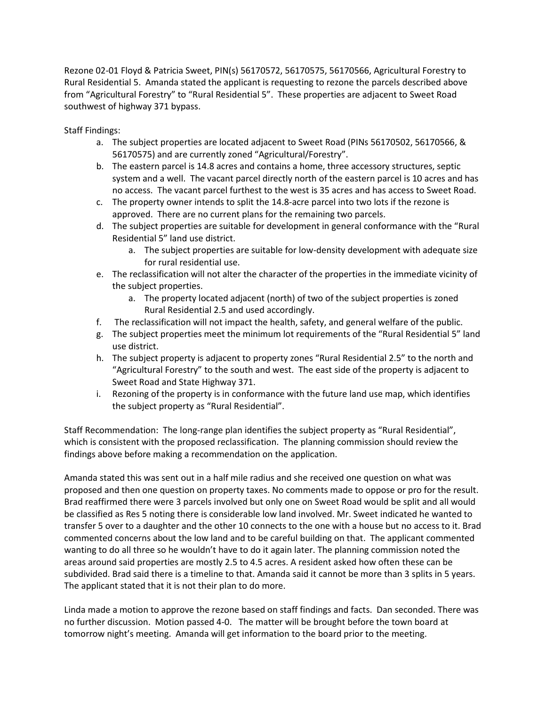Rezone 02-01 Floyd & Patricia Sweet, PIN(s) 56170572, 56170575, 56170566, Agricultural Forestry to Rural Residential 5. Amanda stated the applicant is requesting to rezone the parcels described above from "Agricultural Forestry" to "Rural Residential 5". These properties are adjacent to Sweet Road southwest of highway 371 bypass.

Staff Findings:

- a. The subject properties are located adjacent to Sweet Road (PINs 56170502, 56170566, & 56170575) and are currently zoned "Agricultural/Forestry".
- b. The eastern parcel is 14.8 acres and contains a home, three accessory structures, septic system and a well. The vacant parcel directly north of the eastern parcel is 10 acres and has no access. The vacant parcel furthest to the west is 35 acres and has access to Sweet Road.
- c. The property owner intends to split the 14.8-acre parcel into two lots if the rezone is approved. There are no current plans for the remaining two parcels.
- d. The subject properties are suitable for development in general conformance with the "Rural Residential 5" land use district.
	- a. The subject properties are suitable for low-density development with adequate size for rural residential use.
- e. The reclassification will not alter the character of the properties in the immediate vicinity of the subject properties.
	- a. The property located adjacent (north) of two of the subject properties is zoned Rural Residential 2.5 and used accordingly.
- f. The reclassification will not impact the health, safety, and general welfare of the public.
- g. The subject properties meet the minimum lot requirements of the "Rural Residential 5" land use district.
- h. The subject property is adjacent to property zones "Rural Residential 2.5" to the north and "Agricultural Forestry" to the south and west. The east side of the property is adjacent to Sweet Road and State Highway 371.
- i. Rezoning of the property is in conformance with the future land use map, which identifies the subject property as "Rural Residential".

Staff Recommendation: The long-range plan identifies the subject property as "Rural Residential", which is consistent with the proposed reclassification. The planning commission should review the findings above before making a recommendation on the application.

Amanda stated this was sent out in a half mile radius and she received one question on what was proposed and then one question on property taxes. No comments made to oppose or pro for the result. Brad reaffirmed there were 3 parcels involved but only one on Sweet Road would be split and all would be classified as Res 5 noting there is considerable low land involved. Mr. Sweet indicated he wanted to transfer 5 over to a daughter and the other 10 connects to the one with a house but no access to it. Brad commented concerns about the low land and to be careful building on that. The applicant commented wanting to do all three so he wouldn't have to do it again later. The planning commission noted the areas around said properties are mostly 2.5 to 4.5 acres. A resident asked how often these can be subdivided. Brad said there is a timeline to that. Amanda said it cannot be more than 3 splits in 5 years. The applicant stated that it is not their plan to do more.

Linda made a motion to approve the rezone based on staff findings and facts. Dan seconded. There was no further discussion. Motion passed 4-0. The matter will be brought before the town board at tomorrow night's meeting. Amanda will get information to the board prior to the meeting.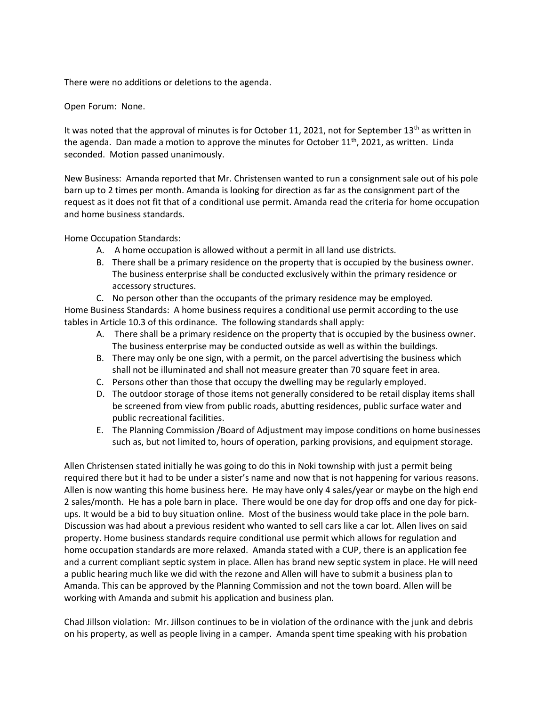There were no additions or deletions to the agenda.

## Open Forum: None.

It was noted that the approval of minutes is for October 11, 2021, not for September  $13<sup>th</sup>$  as written in the agenda. Dan made a motion to approve the minutes for October  $11<sup>th</sup>$ , 2021, as written. Linda seconded. Motion passed unanimously.

New Business: Amanda reported that Mr. Christensen wanted to run a consignment sale out of his pole barn up to 2 times per month. Amanda is looking for direction as far as the consignment part of the request as it does not fit that of a conditional use permit. Amanda read the criteria for home occupation and home business standards.

Home Occupation Standards:

- A. A home occupation is allowed without a permit in all land use districts.
- B. There shall be a primary residence on the property that is occupied by the business owner. The business enterprise shall be conducted exclusively within the primary residence or accessory structures.
- C. No person other than the occupants of the primary residence may be employed.

Home Business Standards: A home business requires a conditional use permit according to the use tables in Article 10.3 of this ordinance. The following standards shall apply:

- A. There shall be a primary residence on the property that is occupied by the business owner. The business enterprise may be conducted outside as well as within the buildings.
- B. There may only be one sign, with a permit, on the parcel advertising the business which shall not be illuminated and shall not measure greater than 70 square feet in area.
- C. Persons other than those that occupy the dwelling may be regularly employed.
- D. The outdoor storage of those items not generally considered to be retail display items shall be screened from view from public roads, abutting residences, public surface water and public recreational facilities.
- E. The Planning Commission /Board of Adjustment may impose conditions on home businesses such as, but not limited to, hours of operation, parking provisions, and equipment storage.

Allen Christensen stated initially he was going to do this in Noki township with just a permit being required there but it had to be under a sister's name and now that is not happening for various reasons. Allen is now wanting this home business here. He may have only 4 sales/year or maybe on the high end 2 sales/month. He has a pole barn in place. There would be one day for drop offs and one day for pickups. It would be a bid to buy situation online. Most of the business would take place in the pole barn. Discussion was had about a previous resident who wanted to sell cars like a car lot. Allen lives on said property. Home business standards require conditional use permit which allows for regulation and home occupation standards are more relaxed. Amanda stated with a CUP, there is an application fee and a current compliant septic system in place. Allen has brand new septic system in place. He will need a public hearing much like we did with the rezone and Allen will have to submit a business plan to Amanda. This can be approved by the Planning Commission and not the town board. Allen will be working with Amanda and submit his application and business plan.

Chad Jillson violation: Mr. Jillson continues to be in violation of the ordinance with the junk and debris on his property, as well as people living in a camper. Amanda spent time speaking with his probation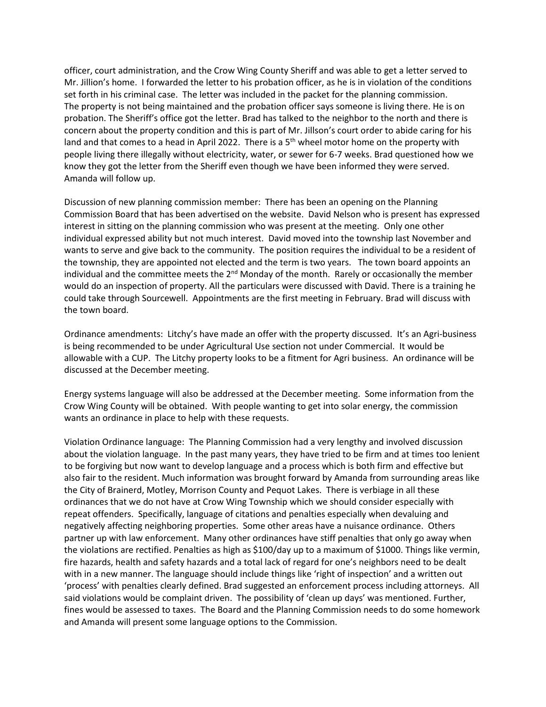officer, court administration, and the Crow Wing County Sheriff and was able to get a letter served to Mr. Jillion's home. I forwarded the letter to his probation officer, as he is in violation of the conditions set forth in his criminal case. The letter was included in the packet for the planning commission. The property is not being maintained and the probation officer says someone is living there. He is on probation. The Sheriff's office got the letter. Brad has talked to the neighbor to the north and there is concern about the property condition and this is part of Mr. Jillson's court order to abide caring for his land and that comes to a head in April 2022. There is a  $5<sup>th</sup>$  wheel motor home on the property with people living there illegally without electricity, water, or sewer for 6-7 weeks. Brad questioned how we know they got the letter from the Sheriff even though we have been informed they were served. Amanda will follow up.

Discussion of new planning commission member: There has been an opening on the Planning Commission Board that has been advertised on the website. David Nelson who is present has expressed interest in sitting on the planning commission who was present at the meeting. Only one other individual expressed ability but not much interest. David moved into the township last November and wants to serve and give back to the community. The position requires the individual to be a resident of the township, they are appointed not elected and the term is two years. The town board appoints an individual and the committee meets the  $2^{nd}$  Monday of the month. Rarely or occasionally the member would do an inspection of property. All the particulars were discussed with David. There is a training he could take through Sourcewell. Appointments are the first meeting in February. Brad will discuss with the town board.

Ordinance amendments: Litchy's have made an offer with the property discussed. It's an Agri-business is being recommended to be under Agricultural Use section not under Commercial. It would be allowable with a CUP. The Litchy property looks to be a fitment for Agri business. An ordinance will be discussed at the December meeting.

Energy systems language will also be addressed at the December meeting. Some information from the Crow Wing County will be obtained. With people wanting to get into solar energy, the commission wants an ordinance in place to help with these requests.

Violation Ordinance language: The Planning Commission had a very lengthy and involved discussion about the violation language. In the past many years, they have tried to be firm and at times too lenient to be forgiving but now want to develop language and a process which is both firm and effective but also fair to the resident. Much information was brought forward by Amanda from surrounding areas like the City of Brainerd, Motley, Morrison County and Pequot Lakes. There is verbiage in all these ordinances that we do not have at Crow Wing Township which we should consider especially with repeat offenders. Specifically, language of citations and penalties especially when devaluing and negatively affecting neighboring properties. Some other areas have a nuisance ordinance. Others partner up with law enforcement. Many other ordinances have stiff penalties that only go away when the violations are rectified. Penalties as high as \$100/day up to a maximum of \$1000. Things like vermin, fire hazards, health and safety hazards and a total lack of regard for one's neighbors need to be dealt with in a new manner. The language should include things like 'right of inspection' and a written out 'process' with penalties clearly defined. Brad suggested an enforcement process including attorneys. All said violations would be complaint driven. The possibility of 'clean up days' was mentioned. Further, fines would be assessed to taxes. The Board and the Planning Commission needs to do some homework and Amanda will present some language options to the Commission.